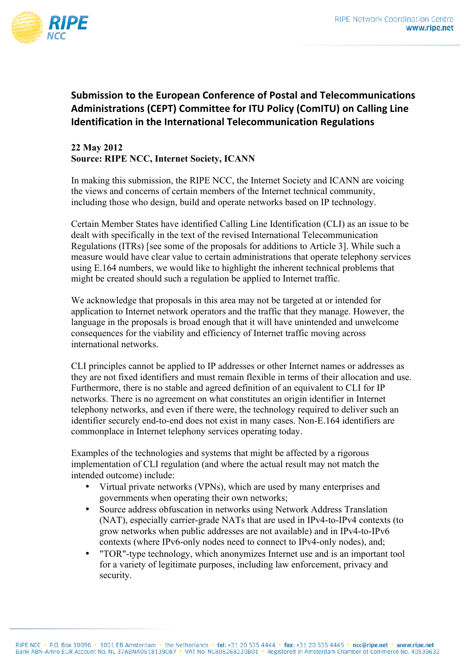

## **Submission to the European Conference of Postal and Telecommunications Administrations (CEPT) Committee for ITU Policy (ComITU) on Calling Line Identification in the International Telecommunication Regulations**

## **22 May 2012 Source: RIPE NCC, Internet Society, ICANN**

In making this submission, the RIPE NCC, the Internet Society and ICANN are voicing the views and concerns of certain members of the Internet technical community, including those who design, build and operate networks based on IP technology.

Certain Member States have identified Calling Line Identification (CLI) as an issue to be dealt with specifically in the text of the revised International Telecommunication Regulations (ITRs) [see some of the proposals for additions to Article 3]. While such a measure would have clear value to certain administrations that operate telephony services using E.164 numbers, we would like to highlight the inherent technical problems that might be created should such a regulation be applied to Internet traffic.

We acknowledge that proposals in this area may not be targeted at or intended for application to Internet network operators and the traffic that they manage. However, the language in the proposals is broad enough that it will have unintended and unwelcome consequences for the viability and efficiency of Internet traffic moving across international networks.

CLI principles cannot be applied to IP addresses or other Internet names or addresses as they are not fixed identifiers and must remain flexible in terms of their allocation and use. Furthermore, there is no stable and agreed definition of an equivalent to CLI for IP networks. There is no agreement on what constitutes an origin identifier in Internet telephony networks, and even if there were, the technology required to deliver such an identifier securely end-to-end does not exist in many cases. Non-E.164 identifiers are commonplace in Internet telephony services operating today.

Examples of the technologies and systems that might be affected by a rigorous implementation of CLI regulation (and where the actual result may not match the intended outcome) include:

- Virtual private networks (VPNs), which are used by many enterprises and governments when operating their own networks;
- Source address obfuscation in networks using Network Address Translation (NAT), especially carrier-grade NATs that are used in IPv4-to-IPv4 contexts (to grow networks when public addresses are not available) and in IPv4-to-IPv6 contexts (where IPv6-only nodes need to connect to IPv4-only nodes), and;
- "TOR"-type technology, which anonymizes Internet use and is an important tool for a variety of legitimate purposes, including law enforcement, privacy and security.